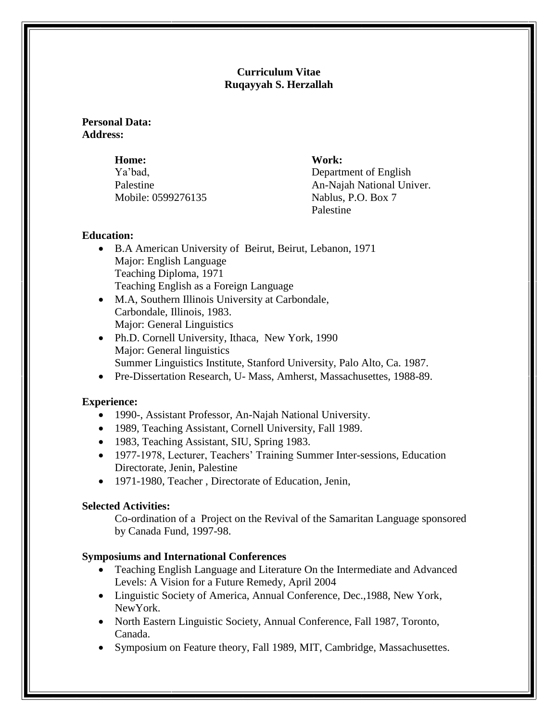## **Curriculum Vitae Ruqayyah S. Herzallah**

## **Personal Data: Address:**

**Home: Work:** Mobile: 0599276135 Nablus, P.O. Box 7

Ya'bad, Department of English Palestine An-Najah National Univer. Palestine

# **Education:**

- B.A American University of Beirut, Beirut, Lebanon, 1971 Major: English Language Teaching Diploma, 1971 Teaching English as a Foreign Language
- M.A, Southern Illinois University at Carbondale, Carbondale, Illinois, 1983. Major: General Linguistics
- Ph.D. Cornell University, Ithaca, New York, 1990 Major: General linguistics Summer Linguistics Institute, Stanford University, Palo Alto, Ca. 1987.
- Pre-Dissertation Research, U- Mass, Amherst, Massachusettes, 1988-89.

# **Experience:**

- 1990-, Assistant Professor, An-Najah National University.
- 1989, Teaching Assistant, Cornell University, Fall 1989.
- 1983, Teaching Assistant, SIU, Spring 1983.
- 1977-1978, Lecturer, Teachers' Training Summer Inter-sessions, Education Directorate, Jenin, Palestine
- 1971-1980, Teacher, Directorate of Education, Jenin,

# **Selected Activities:**

Co-ordination of a Project on the Revival of the Samaritan Language sponsored by Canada Fund, 1997-98.

## **Symposiums and International Conferences**

- Teaching English Language and Literature On the Intermediate and Advanced Levels: A Vision for a Future Remedy, April 2004
- Linguistic Society of America, Annual Conference, Dec.,1988, New York, NewYork.
- North Eastern Linguistic Society, Annual Conference, Fall 1987, Toronto, Canada.
- Symposium on Feature theory, Fall 1989, MIT, Cambridge, Massachusettes.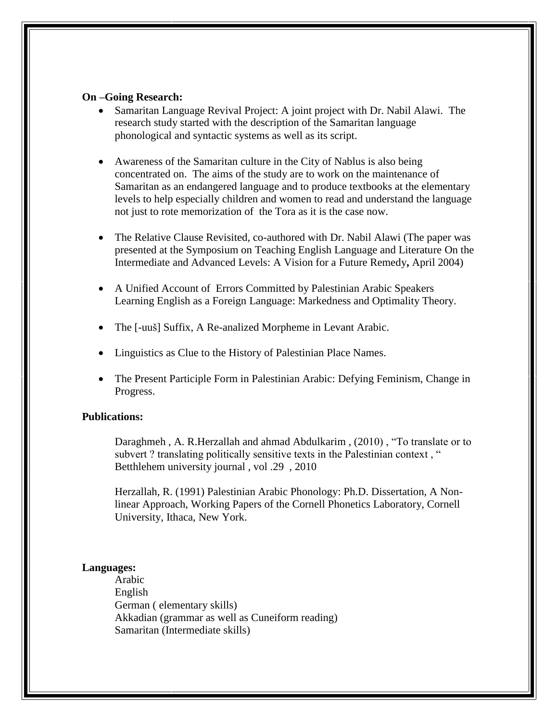## **On –Going Research:**

- Samaritan Language Revival Project: A joint project with Dr. Nabil Alawi. The research study started with the description of the Samaritan language phonological and syntactic systems as well as its script.
- Awareness of the Samaritan culture in the City of Nablus is also being concentrated on. The aims of the study are to work on the maintenance of Samaritan as an endangered language and to produce textbooks at the elementary levels to help especially children and women to read and understand the language not just to rote memorization of the Tora as it is the case now.
- The Relative Clause Revisited, co-authored with Dr. Nabil Alawi (The paper was presented at the Symposium on Teaching English Language and Literature On the Intermediate and Advanced Levels: A Vision for a Future Remedy**,** April 2004)
- A Unified Account of Errors Committed by Palestinian Arabic Speakers Learning English as a Foreign Language: Markedness and Optimality Theory.
- The [-uuš] Suffix, A Re-analized Morpheme in Levant Arabic.
- Linguistics as Clue to the History of Palestinian Place Names.
- The Present Participle Form in Palestinian Arabic: Defying Feminism, Change in Progress.

## **Publications:**

Daraghmeh , A. R.Herzallah and ahmad Abdulkarim , (2010) , "To translate or to subvert ? translating politically sensitive texts in the Palestinian context, " Betthlehem university journal , vol .29 , 2010

Herzallah, R. (1991) Palestinian Arabic Phonology: Ph.D. Dissertation, A Nonlinear Approach, Working Papers of the Cornell Phonetics Laboratory, Cornell University, Ithaca, New York.

#### **Languages:**

Arabic English German ( elementary skills) Akkadian (grammar as well as Cuneiform reading) Samaritan (Intermediate skills)